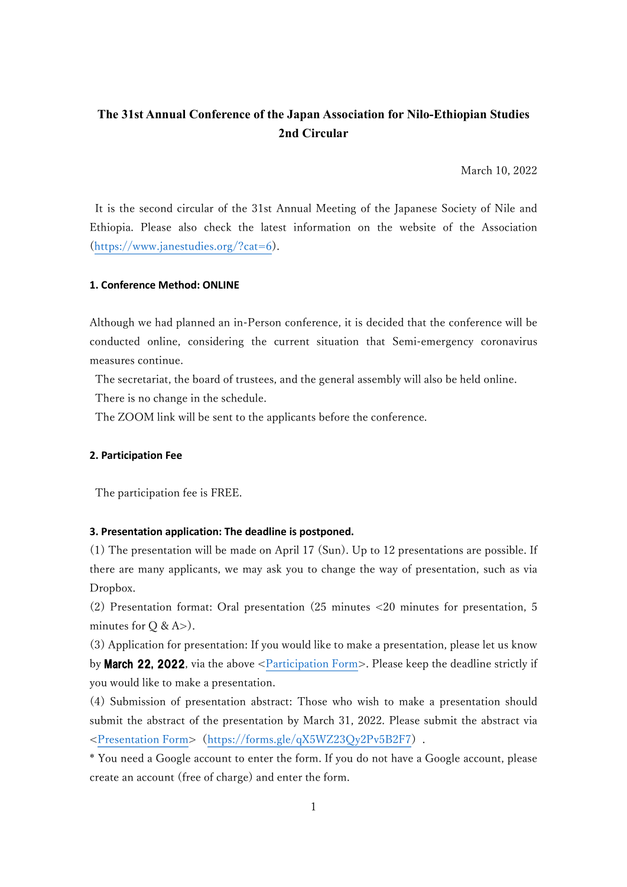# The 31st Annual Conference of the Japan Association for Nilo-Ethiopian Studies 2nd Circular

March 10, 2022

It is the second circular of the 31st Annual Meeting of the Japanese Society of Nile and Ethiopia. Please also check the latest information on the website of the Association (https://www.janestudies.org/?cat=6).

## 1. Conference Method: ONLINE

Although we had planned an in-Person conference, it is decided that the conference will be conducted online, considering the current situation that Semi-emergency coronavirus measures continue.

 The secretariat, the board of trustees, and the general assembly will also be held online. There is no change in the schedule.

The ZOOM link will be sent to the applicants before the conference.

## 2. Participation Fee

The participation fee is FREE.

#### 3. Presentation application: The deadline is postponed.

(1) The presentation will be made on April 17 (Sun). Up to 12 presentations are possible. If there are many applicants, we may ask you to change the way of presentation, such as via Dropbox.

(2) Presentation format: Oral presentation (25 minutes <20 minutes for presentation, 5 minutes for  $Q & A > 0$ .

(3) Application for presentation: If you would like to make a presentation, please let us know by March 22, 2022, via the above <Participation Form>. Please keep the deadline strictly if you would like to make a presentation.

(4) Submission of presentation abstract: Those who wish to make a presentation should submit the abstract of the presentation by March 31, 2022. Please submit the abstract via <Presentation Form>(https://forms.gle/qX5WZ23Qy2Pv5B2F7).

\* You need a Google account to enter the form. If you do not have a Google account, please create an account (free of charge) and enter the form.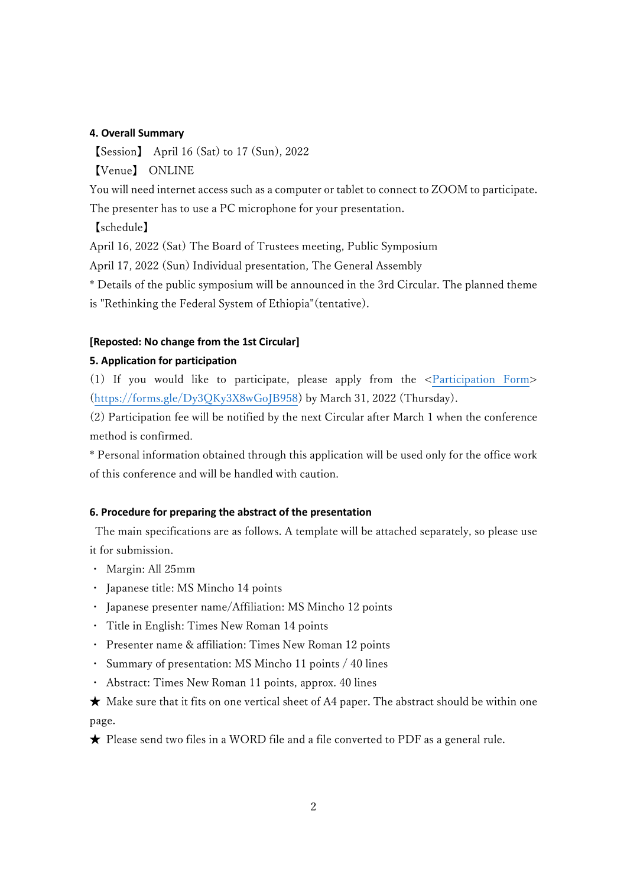#### 4. Overall Summary

【Session】 April 16 (Sat) to 17 (Sun), 2022

【Venue】 ONLINE

You will need internet access such as a computer or tablet to connect to ZOOM to participate.

The presenter has to use a PC microphone for your presentation.

【schedule】

April 16, 2022 (Sat) The Board of Trustees meeting, Public Symposium

April 17, 2022 (Sun) Individual presentation, The General Assembly

\* Details of the public symposium will be announced in the 3rd Circular. The planned theme is "Rethinking the Federal System of Ethiopia"(tentative).

## [Reposted: No change from the 1st Circular]

## 5. Application for participation

(1) If you would like to participate, please apply from the <Participation Form> (https://forms.gle/Dy3QKy3X8wGoJB958) by March 31, 2022 (Thursday).

(2) Participation fee will be notified by the next Circular after March 1 when the conference method is confirmed.

\* Personal information obtained through this application will be used only for the office work of this conference and will be handled with caution.

## 6. Procedure for preparing the abstract of the presentation

 The main specifications are as follows. A template will be attached separately, so please use it for submission.

- ・ Margin: All 25mm
- ・ Japanese title: MS Mincho 14 points
- ・ Japanese presenter name/Affiliation: MS Mincho 12 points
- ・ Title in English: Times New Roman 14 points
- ・ Presenter name & affiliation: Times New Roman 12 points
- ・ Summary of presentation: MS Mincho 11 points / 40 lines
- ・ Abstract: Times New Roman 11 points, approx. 40 lines

 $\star$  Make sure that it fits on one vertical sheet of A4 paper. The abstract should be within one page.

★ Please send two files in a WORD file and a file converted to PDF as a general rule.